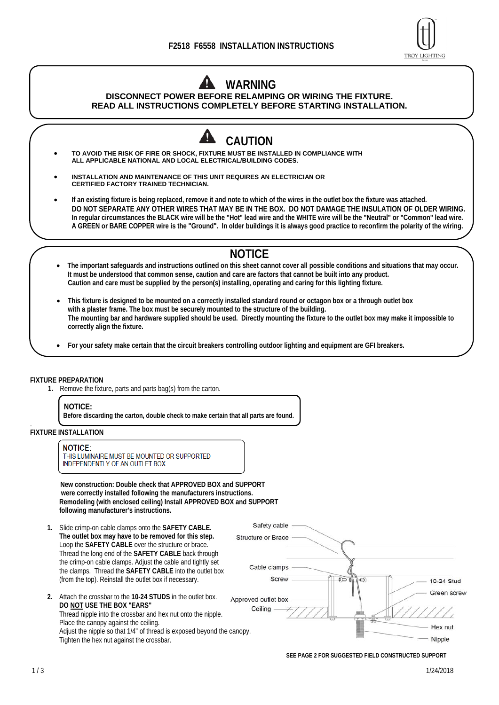

# **WARNING**

### **DISCONNECT POWER BEFORE RELAMPING OR WIRING THE FIXTURE. READ ALL INSTRUCTIONS COMPLETELY BEFORE STARTING INSTALLATION.**



- **TO AVOID THE RISK OF FIRE OR SHOCK, FIXTURE MUST BE INSTALLED IN COMPLIANCE WITH ALL APPLICABLE NATIONAL AND LOCAL ELECTRICAL/BUILDING CODES.**
- **INSTALLATION AND MAINTENANCE OF THIS UNIT REQUIRES AN ELECTRICIAN OR CERTIFIED FACTORY TRAINED TECHNICIAN.**
- **If an existing fixture is being replaced, remove it and note to which of the wires in the outlet box the fixture was attached. DO NOT SEPARATE ANY OTHER WIRES THAT MAY BE IN THE BOX. DO NOT DAMAGE THE INSULATION OF OLDER WIRING. In regular circumstances the BLACK wire will be the "Hot" lead wire and the WHITE wire will be the "Neutral" or "Common" lead wire. A GREEN or BARE COPPER wire is the "Ground". In older buildings it is always good practice to reconfirm the polarity of the wiring.**

## **NOTICE**

- **The important safeguards and instructions outlined on this sheet cannot cover all possible conditions and situations that may occur. It must be understood that common sense, caution and care are factors that cannot be built into any product. Caution and care must be supplied by the person(s) installing, operating and caring for this lighting fixture.**
- **This fixture is designed to be mounted on a correctly installed standard round or octagon box or a through outlet box with a plaster frame. The box must be securely mounted to the structure of the building. The mounting bar and hardware supplied should be used. Directly mounting the fixture to the outlet box may make it impossible to correctly align the fixture.**
- **For your safety make certain that the circuit breakers controlling outdoor lighting and equipment are GFI breakers.**

#### **FIXTURE PREPARATION**

**1.** Remove the fixture, parts and parts bag(s) from the carton.

#### **NOTICE:**

**Before discarding the carton, double check to make certain that all parts are found.** 

#### . **FIXTURE INSTALLATION**

#### **NOTICE:**

THIS LUMINAIRE MUST BE MOUNTED OR SUPPORTED **INDEPENDENTLY OF AN OUTLET BOX** 

**New construction: Double check that APPROVED BOX and SUPPORT were correctly installed following the manufacturers instructions. Remodeling (with enclosed ceiling) Install APPROVED BOX and SUPPORT following manufacturer's instructions.** 

- **1.** Slide crimp-on cable clamps onto the **SAFETY CABLE. The outlet box may have to be removed for this step.**  Loop the **SAFETY CABLE** over the structure or brace. Thread the long end of the **SAFETY CABLE** back through the crimp-on cable clamps. Adjust the cable and tightly set the clamps. Thread the **SAFETY CABLE** into the outlet box (from the top). Reinstall the outlet box if necessary.
- **2.** Attach the crossbar to the **10-24 STUDS** in the outlet box. **DO NOT USE THE BOX "EARS"**  Thread nipple into the crossbar and hex nut onto the nipple. Place the canopy against the ceiling. Adjust the nipple so that 1/4" of thread is exposed beyond the canopy. Tighten the hex nut against the crossbar.



 **SEE PAGE 2 FOR SUGGESTED FIELD CONSTRUCTED SUPPORT**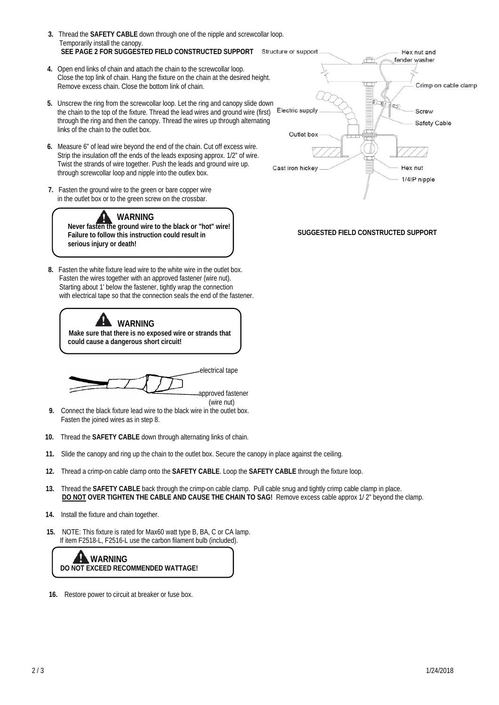

- **16.** Restore power to circuit at breaker or fuse box.
- **DO NOT OVER TIGHTEN THE CABLE AND CAUSE THE CHAIN TO SAG!** Remove excess cable approx 1/ 2" beyond the clamp.  **14.** Install the fixture and chain together.
- **10.** Thread the **SAFETY CABLE** down through alternating links of chain.

 **15.** NOTE: This fixture is rated for Max60 watt type B, BA, C or CA lamp. If item F2518-L, F2516-L use the carbon filament bulb (included).

- 
- 
- 
- 
- 
- 
- **13.** Thread the **SAFETY CABLE** back through the crimp-on cable clamp. Pull cable snug and tightly crimp cable clamp in place.
- 
- 
- **12.** Thread a crimp-on cable clamp onto the **SAFETY CABLE**. Loop the **SAFETY CABLE** through the fixture loop.
- **9.** Connect the black fixture lead wire to the black wire in the outlet box.

electrical tape

approved fastener (wire nut)

- Fasten the joined wires as in step 8.
- 
- 
- 
- 
- 
- 
- 
- 
- **11.** Slide the canopy and ring up the chain to the outlet box. Secure the canopy in place against the ceiling.
- 
- 
- 
- 

**SUGGESTED FIELD CONSTRUCTED SUPPORT**

 **SEE PAGE 2 FOR SUGGESTED FIELD CONSTRUCTED SUPPORT 4.** Open end links of chain and attach the chain to the screwcollar loop. Close the top link of chain. Hang the fixture on the chain at the desired height. Remove excess chain. Close the bottom link of chain.

 **3.** Thread the **SAFETY CABLE** down through one of the nipple and screwcollar loop.

Temporarily install the canopy.

links of the chain to the outlet box.

**serious injury or death!** 

- **5.** Unscrew the ring from the screwcollar loop. Let the ring and canopy slide down
- the chain to the top of the fixture. Thread the lead wires and ground wire (first) through the ring and then the canopy. Thread the wires up through alternating

Twist the strands of wire together. Push the leads and ground wire up.

through screwcollar loop and nipple into the outlex box.

 **7.** Fasten the ground wire to the green or bare copper wire in the outlet box or to the green screw on the crossbar.

**WARNING** 

**Never fasten the ground wire to the black or "hot" wire! Failure to follow this instruction could result in** 

 **8.** Fasten the white fixture lead wire to the white wire in the outlet box. Fasten the wires together with an approved fastener (wire nut). Starting about 1' below the fastener, tightly wrap the connection with electrical tape so that the connection seals the end of the fastener.

**WARNING**<br>Make sure that there is no exposed wire or strands that

 **could cause a dangerous short circuit!** 



Hex nut and fender washer

1/4IP nipple